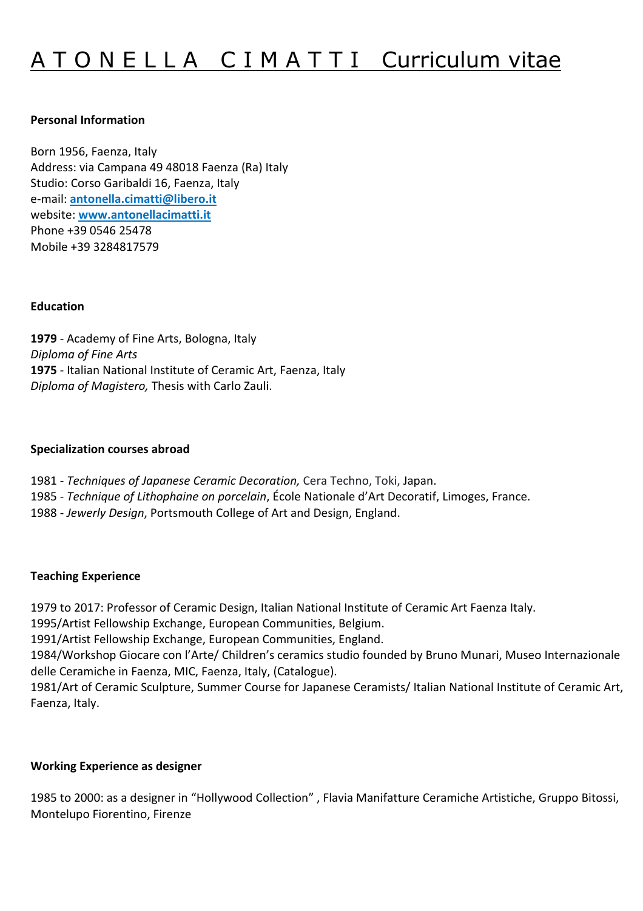# A T O N E L L A C I M A T T I Curriculum vitae

#### **Personal Information**

Born 1956, Faenza, Italy Address: via Campana 49 48018 Faenza (Ra) Italy Studio: Corso Garibaldi 16, Faenza, Italy e-mail: **antonella.cimatti@libero.it** website: **www.antonellacimatti.it** Phone +39 0546 25478 Mobile +39 3284817579

#### **Education**

**1979** - Academy of Fine Arts, Bologna, Italy *Diploma of Fine Arts*  **1975** - Italian National Institute of Ceramic Art, Faenza, Italy *Diploma of Magistero,* Thesis with Carlo Zauli.

#### **Specialization courses abroad**

- 1981 *Techniques of Japanese Ceramic Decoration,* Cera Techno, Toki, Japan.
- 1985 *Technique of Lithophaine on porcelain*, École Nationale d'Art Decoratif, Limoges, France.
- 1988 *Jewerly Design*, Portsmouth College of Art and Design, England.

#### **Teaching Experience**

1979 to 2017: Professor of Ceramic Design, Italian National Institute of Ceramic Art Faenza Italy.

- 1995/Artist Fellowship Exchange, European Communities, Belgium.
- 1991/Artist Fellowship Exchange, European Communities, England.

1984/Workshop Giocare con l'Arte/ Children's ceramics studio founded by Bruno Munari, Museo Internazionale delle Ceramiche in Faenza, MIC, Faenza, Italy, (Catalogue).

1981/Art of Ceramic Sculpture, Summer Course for Japanese Ceramists/ Italian National Institute of Ceramic Art, Faenza, Italy.

# **Working Experience as designer**

1985 to 2000: as a designer in "Hollywood Collection" , Flavia Manifatture Ceramiche Artistiche, Gruppo Bitossi, Montelupo Fiorentino, Firenze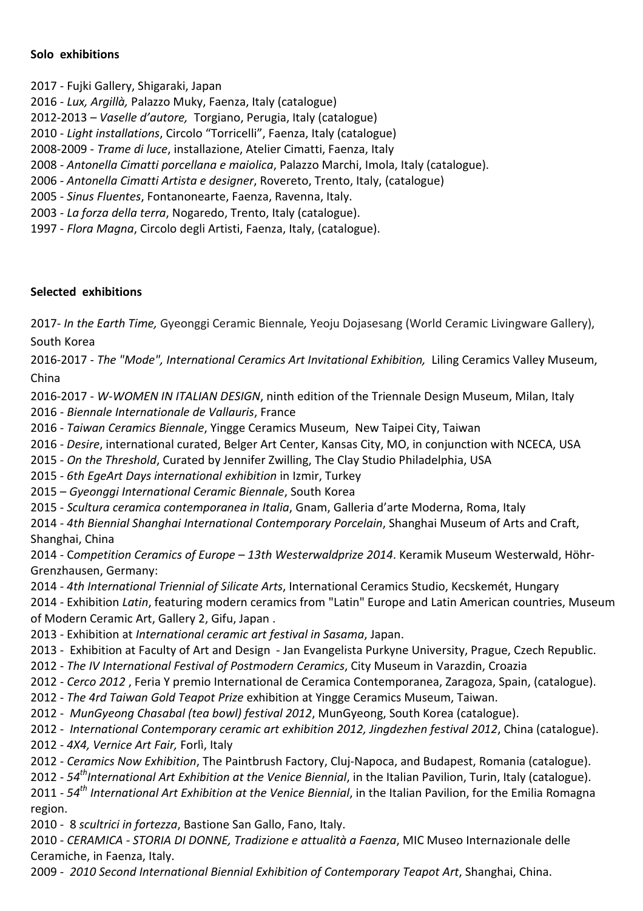### **Solo exhibitions**

2017 - Fujki Gallery, Shigaraki, Japan

- 2016 *Lux, Argillà,* Palazzo Muky, Faenza, Italy (catalogue)
- 2012-2013 *Vaselle d'autore,* Torgiano, Perugia, Italy (catalogue)
- 2010 *Light installations*, Circolo "Torricelli", Faenza, Italy (catalogue)
- 2008-2009 *Trame di luce*, installazione, Atelier Cimatti, Faenza, Italy
- 2008 *Antonella Cimatti porcellana e maiolica*, Palazzo Marchi, Imola, Italy (catalogue).
- 2006 *Antonella Cimatti Artista e designer*, Rovereto, Trento, Italy, (catalogue)
- 2005 *Sinus Fluentes*, Fontanonearte, Faenza, Ravenna, Italy.
- 2003 *La forza della terra*, Nogaredo, Trento, Italy (catalogue).
- 1997 *Flora Magna*, Circolo degli Artisti, Faenza, Italy, (catalogue).

## **Selected exhibitions**

2017- *In the Earth Time,* Gyeonggi Ceramic Biennale*,* Yeoju Dojasesang (World Ceramic Livingware Gallery), South Korea

2016-2017 - *The "Mode", International Ceramics Art Invitational Exhibition,* Liling Ceramics Valley Museum, China

2016-2017 - *W-WOMEN IN ITALIAN DESIGN*, ninth edition of the Triennale Design Museum, Milan, Italy 2016 - *Biennale Internationale de Vallauris*, France

2016 - *Taiwan Ceramics Biennale*, Yingge Ceramics Museum, New Taipei City, Taiwan

2016 - *Desire*, international curated, Belger Art Center, Kansas City, MO, in conjunction with NCECA, USA

2015 - *On the Threshold*, Curated by Jennifer Zwilling, The Clay Studio Philadelphia, USA

2015 - *6th EgeArt Days international exhibition* in Izmir, Turkey

2015 – *Gyeonggi International Ceramic Biennale*, South Korea

2015 - *Scultura ceramica contemporanea in Italia*, Gnam, Galleria d'arte Moderna, Roma, Italy

2014 - *4th Biennial Shanghai International Contemporary Porcelain*, Shanghai Museum of Arts and Craft, Shanghai, China

2014 - C*ompetition Ceramics of Europe – 13th Westerwaldprize 2014*. Keramik Museum Westerwald, Höhr-Grenzhausen, Germany:

2014 - *4th International Triennial of Silicate Arts*, International Ceramics Studio, Kecskemét, Hungary

2014 - Exhibition *Latin*, featuring modern ceramics from "Latin" Europe and Latin American countries, Museum of Modern Ceramic Art, Gallery 2, Gifu, Japan .

- 2013 Exhibition at *International ceramic art festival in Sasama*, Japan.
- 2013 Exhibition at Faculty of Art and Design Jan Evangelista Purkyne University, Prague, Czech Republic.
- 2012 *The IV International Festival of Postmodern Ceramics*, City Museum in Varazdin, Croazia
- 2012 *Cerco 2012* , Feria Y premio International de Ceramica Contemporanea, Zaragoza, Spain, (catalogue).
- 2012 *The 4rd Taiwan Gold Teapot Prize* exhibition at Yingge Ceramics Museum, Taiwan.
- 2012 *MunGyeong Chasabal (tea bowl) festival 2012*, MunGyeong, South Korea (catalogue).
- 2012 *International Contemporary ceramic art exhibition 2012, Jingdezhen festival 2012*, China (catalogue).
- 2012 *4X4, Vernice Art Fair,* Forlì, Italy
- 2012 *Ceramics Now Exhibition*, The Paintbrush Factory, Cluj-Napoca, and Budapest, Romania (catalogue).

2012 - *54thInternational Art Exhibition at the Venice Biennial*, in the Italian Pavilion, Turin, Italy (catalogue).

2011 - *54th International Art Exhibition at the Venice Biennial*, in the Italian Pavilion, for the Emilia Romagna region.

2010 - 8 *scultrici in fortezza*, Bastione San Gallo, Fano, Italy.

2010 - *CERAMICA - STORIA DI DONNE, Tradizione e attualità a Faenza*, MIC Museo Internazionale delle Ceramiche, in Faenza, Italy.

2009 - *2010 Second International Biennial Exhibition of Contemporary Teapot Art*, Shanghai, China.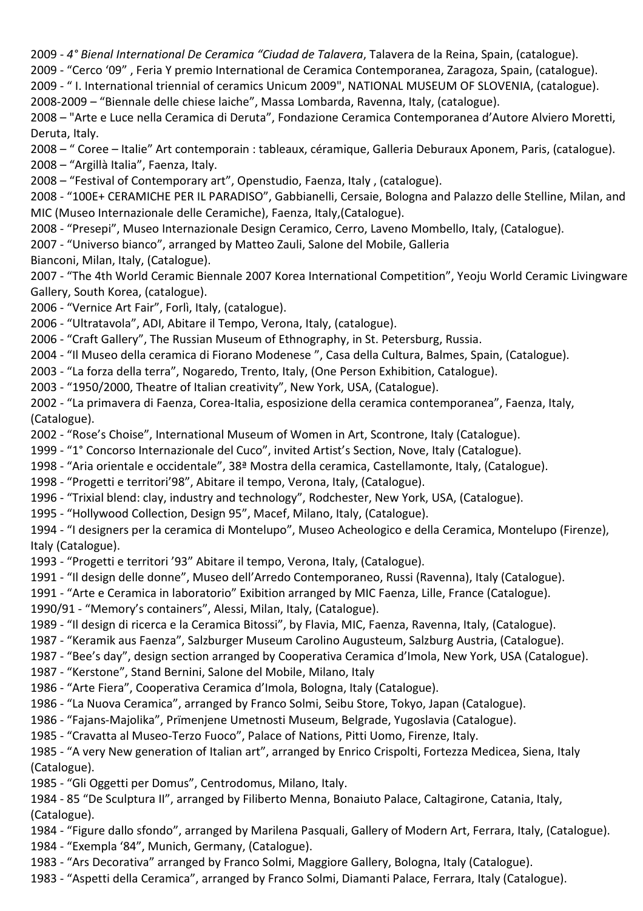2009 - *4° Bienal International De Ceramica "Ciudad de Talavera*, Talavera de la Reina, Spain, (catalogue).

2009 - "Cerco '09" , Feria Y premio International de Ceramica Contemporanea, Zaragoza, Spain, (catalogue).

2009 - " I. International triennial of ceramics Unicum 2009", NATIONAL MUSEUM OF SLOVENIA, (catalogue).

2008-2009 – "Biennale delle chiese laiche", Massa Lombarda, Ravenna, Italy, (catalogue).

2008 – "Arte e Luce nella Ceramica di Deruta", Fondazione Ceramica Contemporanea d'Autore Alviero Moretti, Deruta, Italy.

2008 – " Coree – Italie" Art contemporain : tableaux, céramique, Galleria Deburaux Aponem, Paris, (catalogue). 2008 – "Argillà Italia", Faenza, Italy.

2008 – "Festival of Contemporary art", Openstudio, Faenza, Italy , (catalogue).

2008 - "100E+ CERAMICHE PER IL PARADISO", Gabbianelli, Cersaie, Bologna and Palazzo delle Stelline, Milan, and MIC (Museo Internazionale delle Ceramiche), Faenza, Italy,(Catalogue).

2008 - "Presepi", Museo Internazionale Design Ceramico, Cerro, Laveno Mombello, Italy, (Catalogue).

2007 - "Universo bianco", arranged by Matteo Zauli, Salone del Mobile, Galleria

Bianconi, Milan, Italy, (Catalogue).

2007 - "The 4th World Ceramic Biennale 2007 Korea International Competition", Yeoju World Ceramic Livingware Gallery, South Korea, (catalogue).

2006 - "Vernice Art Fair", Forlì, Italy, (catalogue).

2006 - "Ultratavola", ADI, Abitare il Tempo, Verona, Italy, (catalogue).

2006 - "Craft Gallery", The Russian Museum of Ethnography, in St. Petersburg, Russia.

2004 - "Il Museo della ceramica di Fiorano Modenese ", Casa della Cultura, Balmes, Spain, (Catalogue).

2003 - "La forza della terra", Nogaredo, Trento, Italy, (One Person Exhibition, Catalogue).

2003 - "1950/2000, Theatre of Italian creativity", New York, USA, (Catalogue).

2002 - "La primavera di Faenza, Corea-Italia, esposizione della ceramica contemporanea", Faenza, Italy, (Catalogue).

2002 - "Rose's Choise", International Museum of Women in Art, Scontrone, Italy (Catalogue).

1999 - "1° Concorso Internazionale del Cuco", invited Artist's Section, Nove, Italy (Catalogue).

1998 - "Aria orientale e occidentale", 38ª Mostra della ceramica, Castellamonte, Italy, (Catalogue).

1998 - "Progetti e territori'98", Abitare il tempo, Verona, Italy, (Catalogue).

1996 - "Trixial blend: clay, industry and technology", Rodchester, New York, USA, (Catalogue).

1995 - "Hollywood Collection, Design 95", Macef, Milano, Italy, (Catalogue).

1994 - "I designers per la ceramica di Montelupo", Museo Acheologico e della Ceramica, Montelupo (Firenze), Italy (Catalogue).

1993 - "Progetti e territori '93" Abitare il tempo, Verona, Italy, (Catalogue).

1991 - "Il design delle donne", Museo dell'Arredo Contemporaneo, Russi (Ravenna), Italy (Catalogue).

1991 - "Arte e Ceramica in laboratorio" Exibition arranged by MIC Faenza, Lille, France (Catalogue).

1990/91 - "Memory's containers", Alessi, Milan, Italy, (Catalogue).

1989 - "Il design di ricerca e la Ceramica Bitossi", by Flavia, MIC, Faenza, Ravenna, Italy, (Catalogue).

1987 - "Keramik aus Faenza", Salzburger Museum Carolino Augusteum, Salzburg Austria, (Catalogue).

1987 - "Bee's day", design section arranged by Cooperativa Ceramica d'Imola, New York, USA (Catalogue).

1987 - "Kerstone", Stand Bernini, Salone del Mobile, Milano, Italy

1986 - "Arte Fiera", Cooperativa Ceramica d'Imola, Bologna, Italy (Catalogue).

1986 - "La Nuova Ceramica", arranged by Franco Solmi, Seibu Store, Tokyo, Japan (Catalogue).

1986 - "Fajans-Majolika", Prïmenjene Umetnosti Museum, Belgrade, Yugoslavia (Catalogue).

1985 - "Cravatta al Museo-Terzo Fuoco", Palace of Nations, Pitti Uomo, Firenze, Italy.

1985 - "A very New generation of Italian art", arranged by Enrico Crispolti, Fortezza Medicea, Siena, Italy (Catalogue).

1985 - "Gli Oggetti per Domus", Centrodomus, Milano, Italy.

1984 - 85 "De Sculptura II", arranged by Filiberto Menna, Bonaiuto Palace, Caltagirone, Catania, Italy, (Catalogue).

1984 - "Figure dallo sfondo", arranged by Marilena Pasquali, Gallery of Modern Art, Ferrara, Italy, (Catalogue). 1984 - "Exempla '84", Munich, Germany, (Catalogue).

1983 - "Ars Decorativa" arranged by Franco Solmi, Maggiore Gallery, Bologna, Italy (Catalogue).

1983 - "Aspetti della Ceramica", arranged by Franco Solmi, Diamanti Palace, Ferrara, Italy (Catalogue).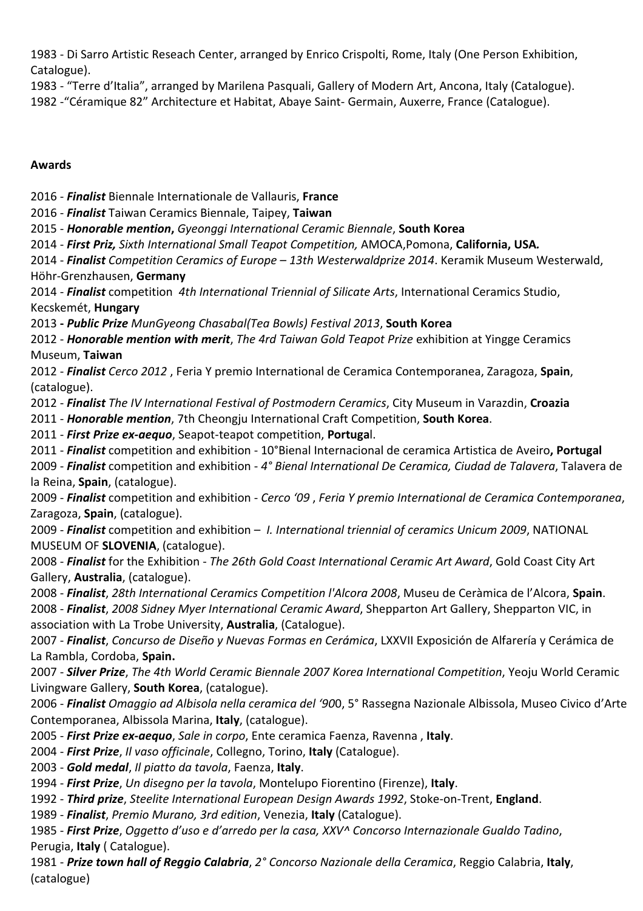1983 - Di Sarro Artistic Reseach Center, arranged by Enrico Crispolti, Rome, Italy (One Person Exhibition, Catalogue).

1983 - "Terre d'Italia", arranged by Marilena Pasquali, Gallery of Modern Art, Ancona, Italy (Catalogue). 1982 -"Céramique 82" Architecture et Habitat, Abaye Saint- Germain, Auxerre, France (Catalogue).

## **Awards**

2016 - *Finalist* Biennale Internationale de Vallauris, **France**

2016 - *Finalist* Taiwan Ceramics Biennale, Taipey, **Taiwan**

2015 - *Honorable mention***,** *Gyeonggi International Ceramic Biennale*, **South Korea**

2014 - *First Priz, Sixth International Small Teapot Competition,* AMOCA,Pomona, **California, USA***.*

2014 - *Finalist Competition Ceramics of Europe – 13th Westerwaldprize 2014*. Keramik Museum Westerwald, Höhr-Grenzhausen, **Germany**

2014 - *Finalist* competition *4th International Triennial of Silicate Arts*, International Ceramics Studio, Kecskemét, **Hungary**

2013 **-** *Public Prize MunGyeong Chasabal(Tea Bowls) Festival 2013*, **South Korea**

2012 - *Honorable mention with merit*, *The 4rd Taiwan Gold Teapot Prize* exhibition at Yingge Ceramics Museum, **Taiwan**

2012 - *Finalist Cerco 2012* , Feria Y premio International de Ceramica Contemporanea, Zaragoza, **Spain**, (catalogue).

2012 - *Finalist The IV International Festival of Postmodern Ceramics*, City Museum in Varazdin, **Croazia**

2011 - *Honorable mention*, 7th Cheongju International Craft Competition, **South Korea**.

2011 - *First Prize ex-aequo*, Seapot-teapot competition, **Portuga**l.

2011 - *Finalist* competition and exhibition - 10°Bienal Internacional de ceramica Artistica de Aveiro**, Portugal**

2009 - *Finalist* competition and exhibition - *4° Bienal International De Ceramica, Ciudad de Talavera*, Talavera de la Reina, **Spain**, (catalogue).

2009 - *Finalist* competition and exhibition - *Cerco '09* , *Feria Y premio International de Ceramica Contemporanea*, Zaragoza, **Spain**, (catalogue).

2009 - *Finalist* competition and exhibition – *I. International triennial of ceramics Unicum 2009*, NATIONAL MUSEUM OF **SLOVENIA**, (catalogue).

2008 - *Finalist* for the Exhibition - *The 26th Gold Coast International Ceramic Art Award*, Gold Coast City Art Gallery, **Australia**, (catalogue).

2008 - *Finalist*, *28th International Ceramics Competition l'Alcora 2008*, Museu de Ceràmica de l'Alcora, **Spain**. 2008 - *Finalist*, *2008 Sidney Myer International Ceramic Award*, Shepparton Art Gallery, Shepparton VIC, in association with La Trobe University, **Australia**, (Catalogue).

2007 - *Finalist*, *Concurso de Diseño y Nuevas Formas en Cerámica*, LXXVII Exposición de Alfarería y Cerámica de La Rambla, Cordoba, **Spain.**

2007 - *Silver Prize*, *The 4th World Ceramic Biennale 2007 Korea International Competition*, Yeoju World Ceramic Livingware Gallery, **South Korea**, (catalogue).

2006 - *Finalist Omaggio ad Albisola nella ceramica del '90*0, 5° Rassegna Nazionale Albissola, Museo Civico d'Arte Contemporanea, Albissola Marina, **Italy**, (catalogue).

2005 - *First Prize ex-aequo*, *Sale in corpo*, Ente ceramica Faenza, Ravenna , **Italy**.

2004 - *First Prize*, *Il vaso officinale*, Collegno, Torino, **Italy** (Catalogue).

2003 - *Gold medal*, *Il piatto da tavola*, Faenza, **Italy**.

1994 - *First Prize*, *Un disegno per la tavola*, Montelupo Fiorentino (Firenze), **Italy**.

1992 - *Third prize*, *Steelite International European Design Awards 1992*, Stoke-on-Trent, **England**.

1989 - *Finalist*, *Premio Murano, 3rd edition*, Venezia, **Italy** (Catalogue).

1985 - *First Prize*, *Oggetto d'uso e d'arredo per la casa, XXV^ Concorso Internazionale Gualdo Tadino*, Perugia, **Italy** ( Catalogue).

1981 - *Prize town hall of Reggio Calabria*, *2° Concorso Nazionale della Ceramica*, Reggio Calabria, **Italy**, (catalogue)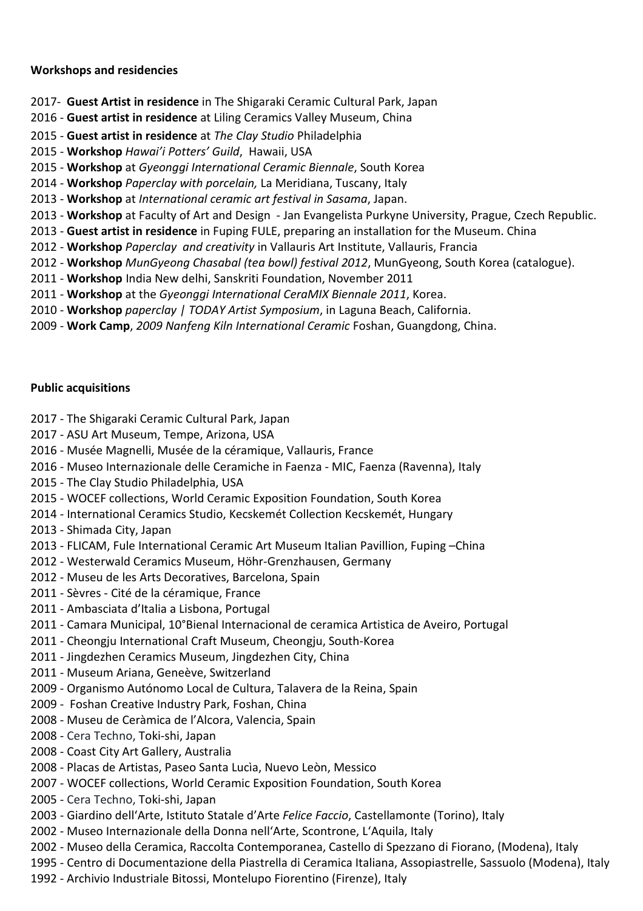### **Workshops and residencies**

- 2017- **Guest Artist in residence** in The Shigaraki Ceramic Cultural Park, Japan
- 2016 **Guest artist in residence** at Liling Ceramics Valley Museum, China
- 2015 **Guest artist in residence** at *The Clay Studio* Philadelphia
- 2015 **Workshop** *Hawai'i Potters' Guild*, Hawaii, USA
- 2015 **Workshop** at *Gyeonggi International Ceramic Biennale*, South Korea
- 2014 **Workshop** *Paperclay with porcelain,* La Meridiana, Tuscany, Italy
- 2013 - **Workshop** at *International ceramic art festival in Sasama*, Japan.
- 2013 **Workshop** at Faculty of Art and Design Jan Evangelista Purkyne University, Prague, Czech Republic.
- 2013 **Guest artist in residence** in Fuping FULE, preparing an installation for the Museum. China
- 2012 **Workshop** *Paperclay and creativity* in Vallauris Art Institute, Vallauris, Francia
- 2012 **Workshop** *MunGyeong Chasabal (tea bowl) festival 2012*, MunGyeong, South Korea (catalogue).
- 2011 **Workshop** India New delhi, Sanskriti Foundation, November 2011
- 2011 **Workshop** at the *Gyeonggi International CeraMIX Biennale 2011*, Korea.
- 2010 **Workshop** *paperclay | TODAY Artist Symposium*, in Laguna Beach, California.
- 2009 **Work Camp**, *2009 Nanfeng Kiln International Ceramic* Foshan, Guangdong, China.

### **Public acquisitions**

- 2017 The Shigaraki Ceramic Cultural Park, Japan
- 2017 ASU Art Museum, Tempe, Arizona, USA
- 2016 Musée Magnelli, Musée de la céramique, Vallauris, France
- 2016 Museo Internazionale delle Ceramiche in Faenza MIC, Faenza (Ravenna), Italy
- 2015 The Clay Studio Philadelphia, USA
- 2015 WOCEF collections, World Ceramic Exposition Foundation, South Korea
- 2014 International Ceramics Studio, Kecskemét Collection Kecskemét, Hungary
- 2013 Shimada City, Japan
- 2013 FLICAM, Fule International Ceramic Art Museum Italian Pavillion, Fuping –China
- 2012 Westerwald Ceramics Museum, Höhr-Grenzhausen, Germany
- 2012 Museu de les Arts Decoratives, Barcelona, Spain
- 2011 Sèvres Cité de la céramique, France
- 2011 Ambasciata d'Italia a Lisbona, Portugal
- 2011 Camara Municipal, 10°Bienal Internacional de ceramica Artistica de Aveiro, Portugal
- 2011 Cheongju International Craft Museum, Cheongju, South-Korea
- 2011 Jingdezhen Ceramics Museum, Jingdezhen City, China
- 2011 Museum Ariana, Geneève, Switzerland
- 2009 Organismo Autónomo Local de Cultura, Talavera de la Reina, Spain
- 2009 Foshan Creative Industry Park, Foshan, China
- 2008 Museu de Ceràmica de l'Alcora, Valencia, Spain
- 2008 Cera Techno, Toki-shi, Japan
- 2008 Coast City Art Gallery, Australia
- 2008 Placas de Artistas, Paseo Santa Lucìa, Nuevo Leòn, Messico
- 2007 WOCEF collections, World Ceramic Exposition Foundation, South Korea
- 2005 Cera Techno, Toki-shi, Japan
- 2003 Giardino dell'Arte, Istituto Statale d'Arte *Felice Faccio*, Castellamonte (Torino), Italy
- 2002 Museo Internazionale della Donna nell'Arte, Scontrone, L'Aquila, Italy
- 2002 Museo della Ceramica, Raccolta Contemporanea, Castello di Spezzano di Fiorano, (Modena), Italy
- 1995 Centro di Documentazione della Piastrella di Ceramica Italiana, Assopiastrelle, Sassuolo (Modena), Italy
- 1992 Archivio Industriale Bitossi, Montelupo Fiorentino (Firenze), Italy